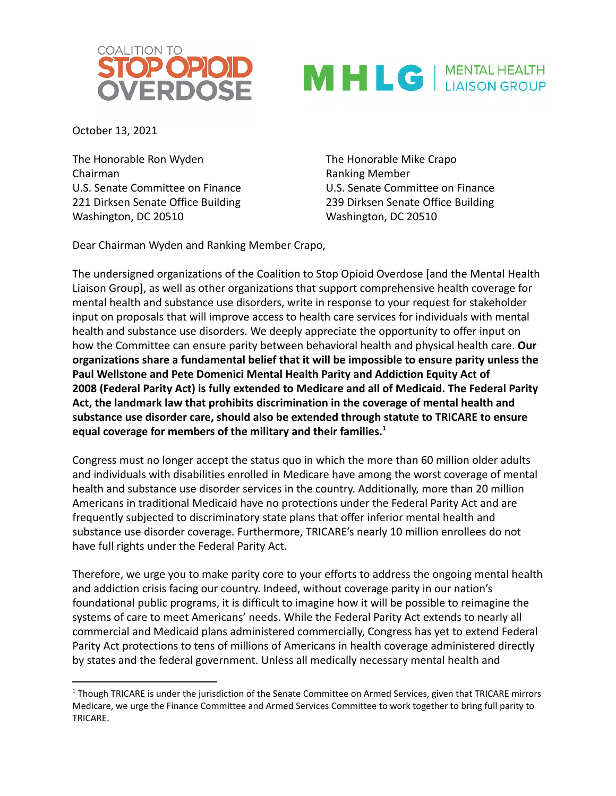



October 13, 2021

The Honorable Ron Wyden The Honorable Mike Crapo Chairman **Chairman** Chairman **Ranking Member** U.S. Senate Committee on Finance U.S. Senate Committee on Finance 221 Dirksen Senate Office Building 239 Dirksen Senate Office Building Washington, DC 20510 Washington, DC 20510

Dear Chairman Wyden and Ranking Member Crapo,

The undersigned organizations of the Coalition to Stop Opioid Overdose [and the Mental Health Liaison Group], as well as other organizations that support comprehensive health coverage for mental health and substance use disorders, write in response to your request for stakeholder input on proposals that will improve access to health care services for individuals with mental health and substance use disorders. We deeply appreciate the opportunity to offer input on how the Committee can ensure parity between behavioral health and physical health care. **Our organizations share a fundamental belief that it will be impossible to ensure parity unless the Paul Wellstone and Pete Domenici Mental Health Parity and Addiction Equity Act of 2008 (Federal Parity Act) is fully extended to Medicare and all of Medicaid. The Federal Parity Act, the landmark law that prohibits discrimination in the coverage of mental health and substance use disorder care, should also be extended through statute to TRICARE to ensure equal coverage for members of the military and their families.<sup>1</sup>**

Congress must no longer accept the status quo in which the more than 60 million older adults and individuals with disabilities enrolled in Medicare have among the worst coverage of mental health and substance use disorder services in the country. Additionally, more than 20 million Americans in traditional Medicaid have no protections under the Federal Parity Act and are frequently subjected to discriminatory state plans that offer inferior mental health and substance use disorder coverage. Furthermore, TRICARE's nearly 10 million enrollees do not have full rights under the Federal Parity Act.

Therefore, we urge you to make parity core to your efforts to address the ongoing mental health and addiction crisis facing our country. Indeed, without coverage parity in our nation's foundational public programs, it is difficult to imagine how it will be possible to reimagine the systems of care to meet Americans' needs. While the Federal Parity Act extends to nearly all commercial and Medicaid plans administered commercially, Congress has yet to extend Federal Parity Act protections to tens of millions of Americans in health coverage administered directly by states and the federal government. Unless all medically necessary mental health and

<sup>&</sup>lt;sup>1</sup> Though TRICARE is under the jurisdiction of the Senate Committee on Armed Services, given that TRICARE mirrors Medicare, we urge the Finance Committee and Armed Services Committee to work together to bring full parity to TRICARE.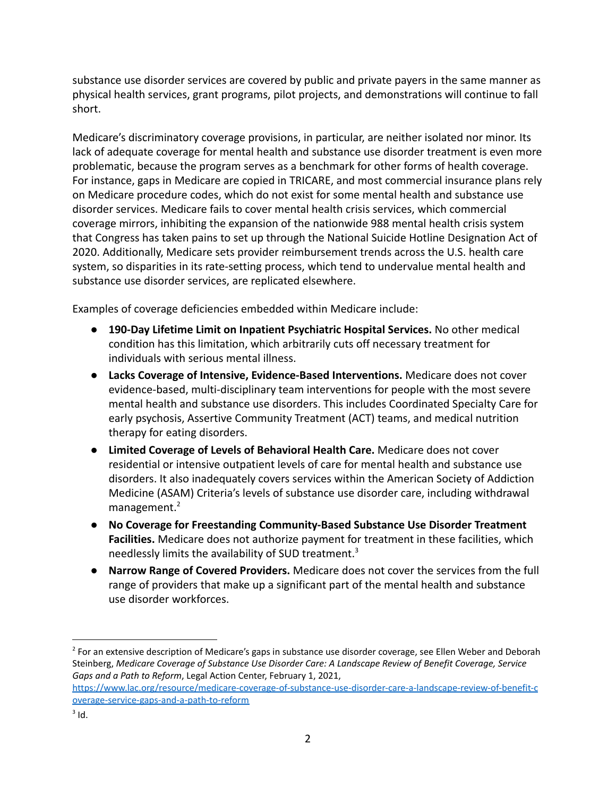substance use disorder services are covered by public and private payers in the same manner as physical health services, grant programs, pilot projects, and demonstrations will continue to fall short.

Medicare's discriminatory coverage provisions, in particular, are neither isolated nor minor. Its lack of adequate coverage for mental health and substance use disorder treatment is even more problematic, because the program serves as a benchmark for other forms of health coverage. For instance, gaps in Medicare are copied in TRICARE, and most commercial insurance plans rely on Medicare procedure codes, which do not exist for some mental health and substance use disorder services. Medicare fails to cover mental health crisis services, which commercial coverage mirrors, inhibiting the expansion of the nationwide 988 mental health crisis system that Congress has taken pains to set up through the National Suicide Hotline Designation Act of 2020. Additionally, Medicare sets provider reimbursement trends across the U.S. health care system, so disparities in its rate-setting process, which tend to undervalue mental health and substance use disorder services, are replicated elsewhere.

Examples of coverage deficiencies embedded within Medicare include:

- **190-Day Lifetime Limit on Inpatient Psychiatric Hospital Services.** No other medical condition has this limitation, which arbitrarily cuts off necessary treatment for individuals with serious mental illness.
- **Lacks Coverage of Intensive, Evidence-Based Interventions.** Medicare does not cover evidence-based, multi-disciplinary team interventions for people with the most severe mental health and substance use disorders. This includes Coordinated Specialty Care for early psychosis, Assertive Community Treatment (ACT) teams, and medical nutrition therapy for eating disorders.
- **Limited Coverage of Levels of Behavioral Health Care.** Medicare does not cover residential or intensive outpatient levels of care for mental health and substance use disorders. It also inadequately covers services within the American Society of Addiction Medicine (ASAM) Criteria's levels of substance use disorder care, including withdrawal management.<sup>2</sup>
- **No Coverage for Freestanding Community-Based Substance Use Disorder Treatment Facilities.** Medicare does not authorize payment for treatment in these facilities, which needlessly limits the availability of SUD treatment.<sup>3</sup>
- **Narrow Range of Covered Providers.** Medicare does not cover the services from the full range of providers that make up a significant part of the mental health and substance use disorder workforces.

[https://www.lac.org/resource/medicare-coverage-of-substance-use-disorder-care-a-landscape-review-of-benefit-c](https://www.lac.org/resource/medicare-coverage-of-substance-use-disorder-care-a-landscape-review-of-benefit-coverage-service-gaps-and-a-path-to-reform) [overage-service-gaps-and-a-path-to-reform](https://www.lac.org/resource/medicare-coverage-of-substance-use-disorder-care-a-landscape-review-of-benefit-coverage-service-gaps-and-a-path-to-reform)

<sup>&</sup>lt;sup>2</sup> For an extensive description of Medicare's gaps in substance use disorder coverage, see Ellen Weber and Deborah Steinberg, *Medicare Coverage of Substance Use Disorder Care: A Landscape Review of Benefit Coverage, Service Gaps and a Path to Reform*, Legal Action Center, February 1, 2021,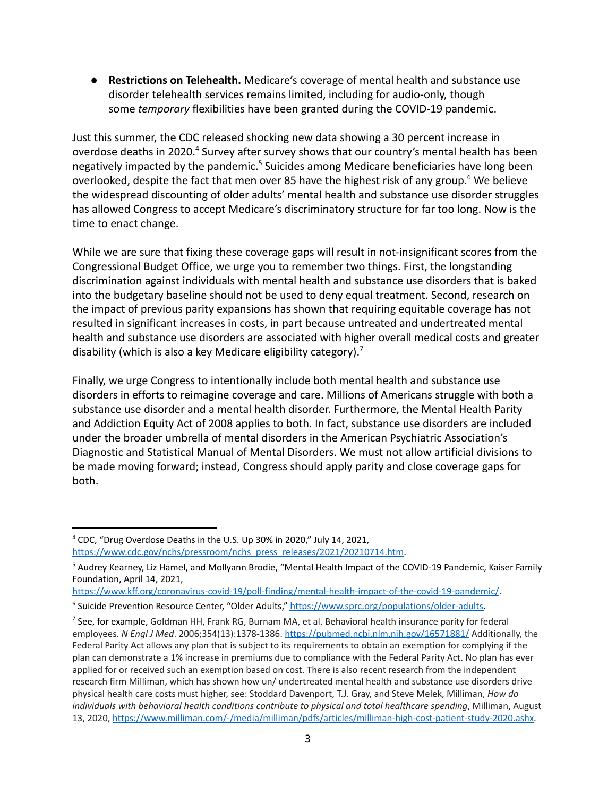● **Restrictions on Telehealth.** Medicare's coverage of mental health and substance use disorder telehealth services remains limited, including for audio-only, though some *temporary* flexibilities have been granted during the COVID-19 pandemic.

Just this summer, the CDC released shocking new data showing a 30 percent increase in overdose deaths in 2020.<sup>4</sup> Survey after survey shows that our country's mental health has been negatively impacted by the pandemic.<sup>5</sup> Suicides among Medicare beneficiaries have long been overlooked, despite the fact that men over 85 have the highest risk of any group.<sup>6</sup> We believe the widespread discounting of older adults' mental health and substance use disorder struggles has allowed Congress to accept Medicare's discriminatory structure for far too long. Now is the time to enact change.

While we are sure that fixing these coverage gaps will result in not-insignificant scores from the Congressional Budget Office, we urge you to remember two things. First, the longstanding discrimination against individuals with mental health and substance use disorders that is baked into the budgetary baseline should not be used to deny equal treatment. Second, research on the impact of previous parity expansions has shown that requiring equitable coverage has not resulted in significant increases in costs, in part because untreated and undertreated mental health and substance use disorders are associated with higher overall medical costs and greater disability (which is also a key Medicare eligibility category).<sup>7</sup>

Finally, we urge Congress to intentionally include both mental health and substance use disorders in efforts to reimagine coverage and care. Millions of Americans struggle with both a substance use disorder and a mental health disorder. Furthermore, the Mental Health Parity and Addiction Equity Act of 2008 applies to both. In fact, substance use disorders are included under the broader umbrella of mental disorders in the American Psychiatric Association's Diagnostic and Statistical Manual of Mental Disorders. We must not allow artificial divisions to be made moving forward; instead, Congress should apply parity and close coverage gaps for both.

<https://www.kff.org/coronavirus-covid-19/poll-finding/mental-health-impact-of-the-covid-19-pandemic/>.

<sup>4</sup> CDC, "Drug Overdose Deaths in the U.S. Up 30% in 2020," July 14, 2021, [https://www.cdc.gov/nchs/pressroom/nchs\\_press\\_releases/2021/20210714.htm.](https://www.cdc.gov/nchs/pressroom/nchs_press_releases/2021/20210714.htm)

<sup>&</sup>lt;sup>5</sup> Audrey Kearney, Liz Hamel, and Mollyann Brodie, "Mental Health Impact of the COVID-19 Pandemic, Kaiser Family Foundation, April 14, 2021,

<sup>&</sup>lt;sup>6</sup> Suicide Prevention Resource Center, "Older Adults," [https://www.sprc.org/populations/older-adults.](https://www.sprc.org/populations/older-adults)

 $<sup>7</sup>$  See, for example, Goldman HH, Frank RG, Burnam MA, et al. Behavioral health insurance parity for federal</sup> employees. *N Engl J Med*. 2006;354(13):1378-1386. <https://pubmed.ncbi.nlm.nih.gov/16571881/> Additionally, the Federal Parity Act allows any plan that is subject to its requirements to obtain an exemption for complying if the plan can demonstrate a 1% increase in premiums due to compliance with the Federal Parity Act. No plan has ever applied for or received such an exemption based on cost. There is also recent research from the independent research firm Milliman, which has shown how un/ undertreated mental health and substance use disorders drive physical health care costs must higher, see: Stoddard Davenport, T.J. Gray, and Steve Melek, Milliman, *How do individuals with behavioral health conditions contribute to physical and total healthcare spending*, Milliman, August 13, 2020, [https://www.milliman.com/-/media/milliman/pdfs/articles/milliman-high-cost-patient-study-2020.ashx.](https://www.milliman.com/-/media/milliman/pdfs/articles/milliman-high-cost-patient-study-2020.ashx)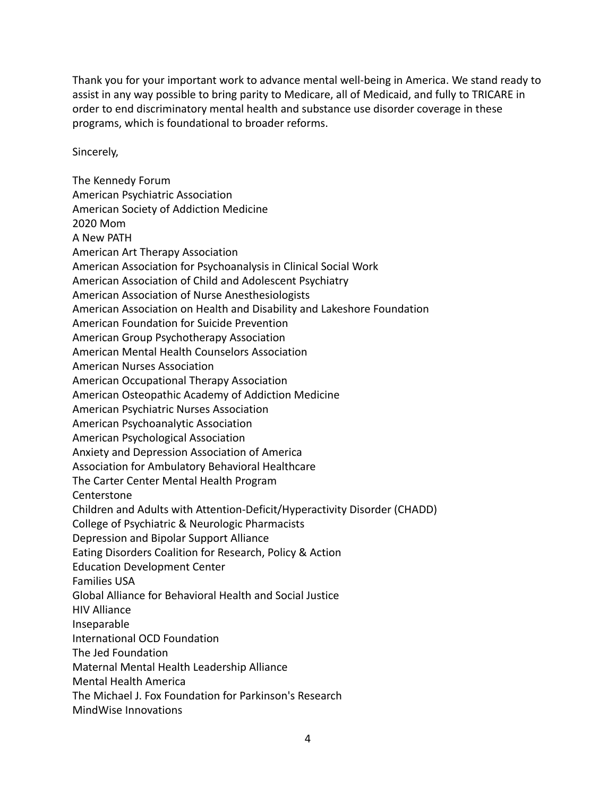Thank you for your important work to advance mental well-being in America. We stand ready to assist in any way possible to bring parity to Medicare, all of Medicaid, and fully to TRICARE in order to end discriminatory mental health and substance use disorder coverage in these programs, which is foundational to broader reforms.

Sincerely,

The Kennedy Forum American Psychiatric Association American Society of Addiction Medicine 2020 Mom A New PATH American Art Therapy Association American Association for Psychoanalysis in Clinical Social Work American Association of Child and Adolescent Psychiatry American Association of Nurse Anesthesiologists American Association on Health and Disability and Lakeshore Foundation American Foundation for Suicide Prevention American Group Psychotherapy Association American Mental Health Counselors Association American Nurses Association American Occupational Therapy Association American Osteopathic Academy of Addiction Medicine American Psychiatric Nurses Association American Psychoanalytic Association American Psychological Association Anxiety and Depression Association of America Association for Ambulatory Behavioral Healthcare The Carter Center Mental Health Program **Centerstone** Children and Adults with Attention-Deficit/Hyperactivity Disorder (CHADD) College of Psychiatric & Neurologic Pharmacists Depression and Bipolar Support Alliance Eating Disorders Coalition for Research, Policy & Action Education Development Center Families USA Global Alliance for Behavioral Health and Social Justice HIV Alliance Inseparable International OCD Foundation The Jed Foundation Maternal Mental Health Leadership Alliance Mental Health America The Michael J. Fox Foundation for Parkinson's Research MindWise Innovations